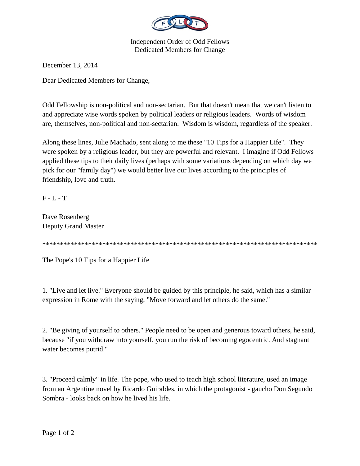

Independent Order of Odd Fellows Dedicated Members for Change

December 13, 2014

Dear Dedicated Members for Change,

Odd Fellowship is non-political and non-sectarian. But that doesn't mean that we can't listen to and appreciate wise words spoken by political leaders or religious leaders. Words of wisdom are, themselves, non-political and non-sectarian. Wisdom is wisdom, regardless of the speaker.

Along these lines, Julie Machado, sent along to me these "10 Tips for a Happier Life". They were spoken by a religious leader, but they are powerful and relevant. I imagine if Odd Fellows applied these tips to their daily lives (perhaps with some variations depending on which day we pick for our "family day") we would better live our lives according to the principles of friendship, love and truth.

F - L - T

Dave Rosenberg Deputy Grand Master

\*\*\*\*\*\*\*\*\*\*\*\*\*\*\*\*\*\*\*\*\*\*\*\*\*\*\*\*\*\*\*\*\*\*\*\*\*\*\*\*\*\*\*\*\*\*\*\*\*\*\*\*\*\*\*\*\*\*\*\*\*\*\*\*\*\*\*\*\*\*\*\*\*\*\*\*\*\*

The Pope's 10 Tips for a Happier Life

1. "Live and let live." Everyone should be guided by this principle, he said, which has a similar expression in Rome with the saying, "Move forward and let others do the same."

2. "Be giving of yourself to others." People need to be open and generous toward others, he said, because "if you withdraw into yourself, you run the risk of becoming egocentric. And stagnant water becomes putrid."

3. "Proceed calmly" in life. The pope, who used to teach high school literature, used an image from an Argentine novel by Ricardo Guiraldes, in which the protagonist - gaucho Don Segundo Sombra - looks back on how he lived his life.